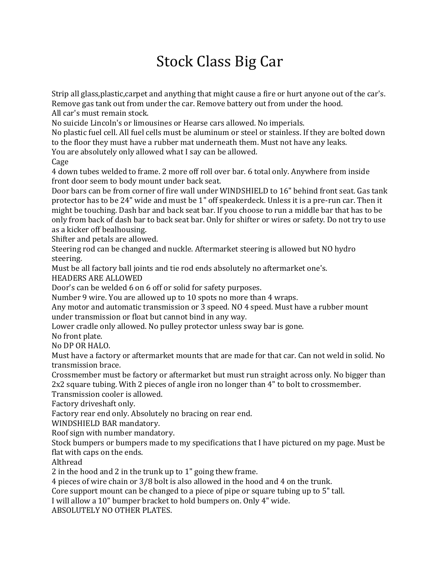## Stock Class Big Car

Strip all glass,plastic,carpet and anything that might cause a fire or hurt anyone out of the car's. Remove gas tank out from under the car. Remove battery out from under the hood.

All car's must remain stock.

No suicide Lincoln's or limousines or Hearse cars allowed. No imperials.

No plastic fuel cell. All fuel cells must be aluminum or steel or stainless. If they are bolted down to the floor they must have a rubber mat underneath them. Must not have any leaks.

You are absolutely only allowed what I say can be allowed.

Cage

4 down tubes welded to frame. 2 more off roll over bar. 6 total only. Anywhere from inside front door seem to body mount under back seat.

Door bars can be from corner of fire wall under WINDSHIELD to 16" behind front seat. Gas tank protector has to be 24" wide and must be 1" off speakerdeck. Unless it is a pre-run car. Then it might be touching. Dash bar and back seat bar. If you choose to run a middle bar that has to be only from back of dash bar to back seat bar. Only for shifter or wires or safety. Do not try to use as a kicker off bealhousing.

Shifter and petals are allowed.

Steering rod can be changed and nuckle. Aftermarket steering is allowed but NO hydro steering.

Must be all factory ball joints and tie rod ends absolutely no aftermarket one's.

HEADERS ARE ALLOWED

Door's can be welded 6 on 6 off or solid for safety purposes.

Number 9 wire. You are allowed up to 10 spots no more than 4 wraps.

Any motor and automatic transmission or 3 speed. NO 4 speed. Must have a rubber mount under transmission or float but cannot bind in any way.

Lower cradle only allowed. No pulley protector unless sway bar is gone.

No front plate.

No DP OR HALO.

Must have a factory or aftermarket mounts that are made for that car. Can not weld in solid. No transmission brace.

Crossmember must be factory or aftermarket but must run straight across only. No bigger than 2x2 square tubing. With 2 pieces of angle iron no longer than 4" to bolt to crossmember.

Transmission cooler is allowed.

Factory driveshaft only.

Factory rear end only. Absolutely no bracing on rear end.

WINDSHIELD BAR mandatory.

Roof sign with number mandatory.

Stock bumpers or bumpers made to my specifications that I have pictured on my page. Must be flat with caps on the ends.

Althread

2 in the hood and 2 in the trunk up to 1" going thew frame.

4 pieces of wire chain or 3/8 bolt is also allowed in the hood and 4 on the trunk.

Core support mount can be changed to a piece of pipe or square tubing up to 5" tall.

I will allow a 10" bumper bracket to hold bumpers on. Only 4" wide.

ABSOLUTELY NO OTHER PLATES.